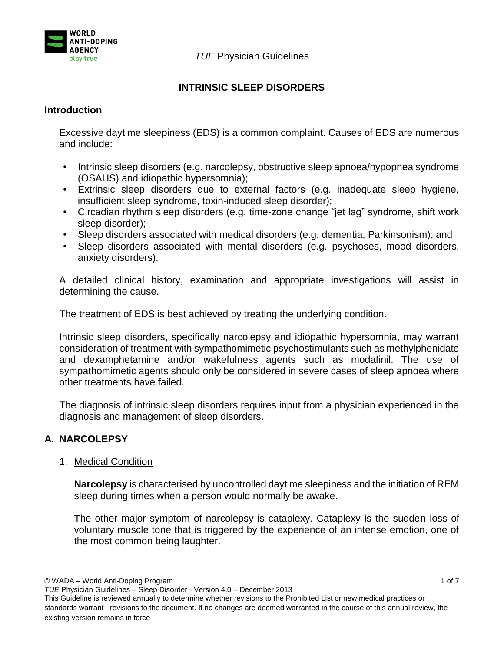

*TUE* Physician Guidelines

# **INTRINSIC SLEEP DISORDERS**

## **Introduction**

Excessive daytime sleepiness (EDS) is a common complaint. Causes of EDS are numerous and include:

- Intrinsic sleep disorders (e.g. narcolepsy, obstructive sleep apnoea/hypopnea syndrome (OSAHS) and idiopathic hypersomnia);
- Extrinsic sleep disorders due to external factors (e.g. inadequate sleep hygiene, insufficient sleep syndrome, toxin-induced sleep disorder);
- Circadian rhythm sleep disorders (e.g. time-zone change "jet lag" syndrome, shift work sleep disorder);
- Sleep disorders associated with medical disorders (e.g. dementia, Parkinsonism); and
- Sleep disorders associated with mental disorders (e.g. psychoses, mood disorders, anxiety disorders).

A detailed clinical history, examination and appropriate investigations will assist in determining the cause.

The treatment of EDS is best achieved by treating the underlying condition.

Intrinsic sleep disorders, specifically narcolepsy and idiopathic hypersomnia, may warrant consideration of treatment with sympathomimetic psychostimulants such as methylphenidate and dexamphetamine and/or wakefulness agents such as modafinil. The use of sympathomimetic agents should only be considered in severe cases of sleep apnoea where other treatments have failed.

The diagnosis of intrinsic sleep disorders requires input from a physician experienced in the diagnosis and management of sleep disorders.

# **A. NARCOLEPSY**

## 1. Medical Condition

**Narcolepsy** is characterised by uncontrolled daytime sleepiness and the initiation of REM sleep during times when a person would normally be awake.

The other major symptom of narcolepsy is cataplexy. Cataplexy is the sudden loss of voluntary muscle tone that is triggered by the experience of an intense emotion, one of the most common being laughter.

© WADA – World Anti-Doping Program 1 of 7

*TUE* Physician Guidelines – Sleep Disorder - Version 4.0 – December 2013

This Guideline is reviewed annually to determine whether revisions to the Prohibited List or new medical practices or standards warrant revisions to the document. If no changes are deemed warranted in the course of this annual review, the existing version remains in force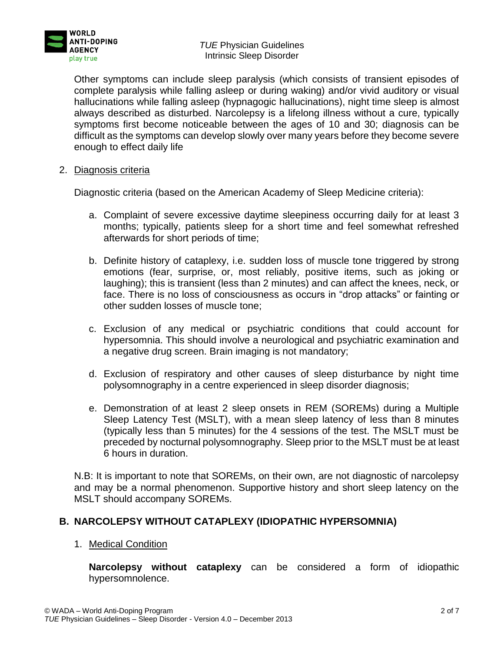

*TUE* Physician Guidelines Intrinsic Sleep Disorder

Other symptoms can include sleep paralysis (which consists of transient episodes of complete paralysis while falling asleep or during waking) and/or vivid auditory or visual hallucinations while falling asleep (hypnagogic hallucinations), night time sleep is almost always described as disturbed. Narcolepsy is a lifelong illness without a cure, typically symptoms first become noticeable between the ages of 10 and 30; diagnosis can be difficult as the symptoms can develop slowly over many years before they become severe enough to effect daily life

2. Diagnosis criteria

Diagnostic criteria (based on the American Academy of Sleep Medicine criteria):

- a. Complaint of severe excessive daytime sleepiness occurring daily for at least 3 months; typically, patients sleep for a short time and feel somewhat refreshed afterwards for short periods of time;
- b. Definite history of cataplexy, i.e. sudden loss of muscle tone triggered by strong emotions (fear, surprise, or, most reliably, positive items, such as joking or laughing); this is transient (less than 2 minutes) and can affect the knees, neck, or face. There is no loss of consciousness as occurs in "drop attacks" or fainting or other sudden losses of muscle tone;
- c. Exclusion of any medical or psychiatric conditions that could account for hypersomnia. This should involve a neurological and psychiatric examination and a negative drug screen. Brain imaging is not mandatory;
- d. Exclusion of respiratory and other causes of sleep disturbance by night time polysomnography in a centre experienced in sleep disorder diagnosis;
- e. Demonstration of at least 2 sleep onsets in REM (SOREMs) during a Multiple Sleep Latency Test (MSLT), with a mean sleep latency of less than 8 minutes (typically less than 5 minutes) for the 4 sessions of the test. The MSLT must be preceded by nocturnal polysomnography. Sleep prior to the MSLT must be at least 6 hours in duration.

N.B: It is important to note that SOREMs, on their own, are not diagnostic of narcolepsy and may be a normal phenomenon. Supportive history and short sleep latency on the MSLT should accompany SOREMs.

# **B. NARCOLEPSY WITHOUT CATAPLEXY (IDIOPATHIC HYPERSOMNIA)**

## 1. Medical Condition

**Narcolepsy without cataplexy** can be considered a form of idiopathic hypersomnolence.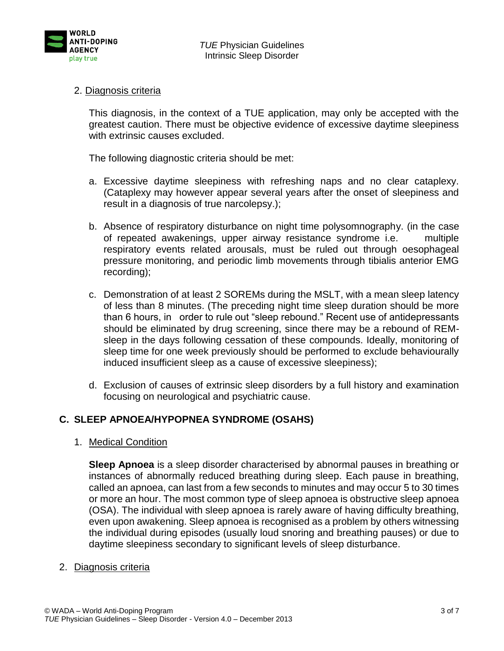

## 2. Diagnosis criteria

This diagnosis, in the context of a TUE application, may only be accepted with the greatest caution. There must be objective evidence of excessive daytime sleepiness with extrinsic causes excluded.

The following diagnostic criteria should be met:

- a. Excessive daytime sleepiness with refreshing naps and no clear cataplexy. (Cataplexy may however appear several years after the onset of sleepiness and result in a diagnosis of true narcolepsy.);
- b. Absence of respiratory disturbance on night time polysomnography. (in the case of repeated awakenings, upper airway resistance syndrome i.e. multiple respiratory events related arousals, must be ruled out through oesophageal pressure monitoring, and periodic limb movements through tibialis anterior EMG recording);
- c. Demonstration of at least 2 SOREMs during the MSLT, with a mean sleep latency of less than 8 minutes. (The preceding night time sleep duration should be more than 6 hours, in order to rule out "sleep rebound." Recent use of antidepressants should be eliminated by drug screening, since there may be a rebound of REMsleep in the days following cessation of these compounds. Ideally, monitoring of sleep time for one week previously should be performed to exclude behaviourally induced insufficient sleep as a cause of excessive sleepiness);
- d. Exclusion of causes of extrinsic sleep disorders by a full history and examination focusing on neurological and psychiatric cause.

## **C. SLEEP APNOEA/HYPOPNEA SYNDROME (OSAHS)**

1. Medical Condition

**Sleep Apnoea** is a sleep disorder characterised by abnormal pauses in breathing or instances of abnormally reduced breathing during sleep. Each pause in breathing, called an apnoea, can last from a few seconds to minutes and may occur 5 to 30 times or more an hour. The most common type of sleep apnoea is obstructive sleep apnoea (OSA). The individual with sleep apnoea is rarely aware of having difficulty breathing, even upon awakening. Sleep apnoea is recognised as a problem by others witnessing the individual during episodes (usually loud snoring and breathing pauses) or due to daytime sleepiness secondary to significant levels of sleep disturbance.

#### 2. Diagnosis criteria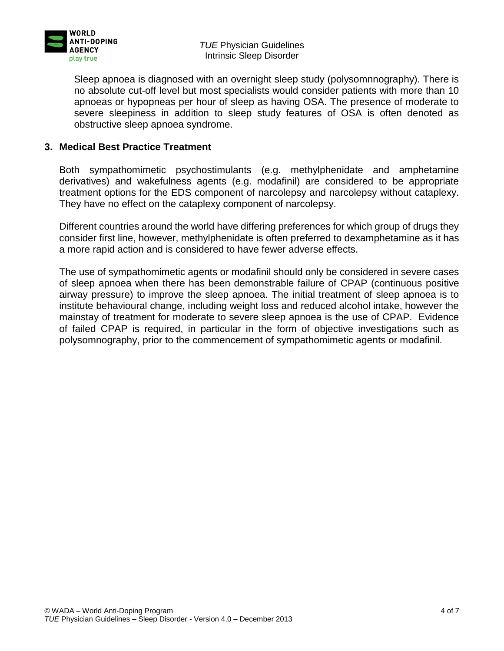

*TUE* Physician Guidelines Intrinsic Sleep Disorder

Sleep apnoea is diagnosed with an overnight sleep study (polysomnnography). There is no absolute cut-off level but most specialists would consider patients with more than 10 apnoeas or hypopneas per hour of sleep as having OSA. The presence of moderate to severe sleepiness in addition to sleep study features of OSA is often denoted as obstructive sleep apnoea syndrome.

## **3. Medical Best Practice Treatment**

Both sympathomimetic psychostimulants (e.g. methylphenidate and amphetamine derivatives) and wakefulness agents (e.g. modafinil) are considered to be appropriate treatment options for the EDS component of narcolepsy and narcolepsy without cataplexy. They have no effect on the cataplexy component of narcolepsy.

Different countries around the world have differing preferences for which group of drugs they consider first line, however, methylphenidate is often preferred to dexamphetamine as it has a more rapid action and is considered to have fewer adverse effects.

The use of sympathomimetic agents or modafinil should only be considered in severe cases of sleep apnoea when there has been demonstrable failure of CPAP (continuous positive airway pressure) to improve the sleep apnoea. The initial treatment of sleep apnoea is to institute behavioural change, including weight loss and reduced alcohol intake, however the mainstay of treatment for moderate to severe sleep apnoea is the use of CPAP. Evidence of failed CPAP is required, in particular in the form of objective investigations such as polysomnography, prior to the commencement of sympathomimetic agents or modafinil.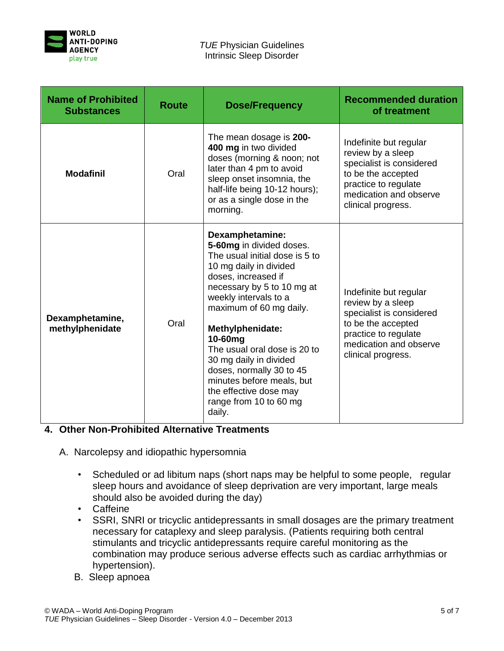

| <b>Name of Prohibited</b><br><b>Substances</b> | <b>Route</b> | <b>Dose/Frequency</b>                                                                                                                                                                                                                                                                                                                                                                                                            | <b>Recommended duration</b><br>of treatment                                                                                                                           |
|------------------------------------------------|--------------|----------------------------------------------------------------------------------------------------------------------------------------------------------------------------------------------------------------------------------------------------------------------------------------------------------------------------------------------------------------------------------------------------------------------------------|-----------------------------------------------------------------------------------------------------------------------------------------------------------------------|
| <b>Modafinil</b>                               | Oral         | The mean dosage is 200-<br>400 mg in two divided<br>doses (morning & noon; not<br>later than 4 pm to avoid<br>sleep onset insomnia, the<br>half-life being 10-12 hours);<br>or as a single dose in the<br>morning.                                                                                                                                                                                                               | Indefinite but regular<br>review by a sleep<br>specialist is considered<br>to be the accepted<br>practice to regulate<br>medication and observe<br>clinical progress. |
| Dexamphetamine,<br>methylphenidate             | Oral         | Dexamphetamine:<br>5-60mg in divided doses.<br>The usual initial dose is 5 to<br>10 mg daily in divided<br>doses, increased if<br>necessary by 5 to 10 mg at<br>weekly intervals to a<br>maximum of 60 mg daily.<br>Methylphenidate:<br>10-60mg<br>The usual oral dose is 20 to<br>30 mg daily in divided<br>doses, normally 30 to 45<br>minutes before meals, but<br>the effective dose may<br>range from 10 to 60 mg<br>daily. | Indefinite but regular<br>review by a sleep<br>specialist is considered<br>to be the accepted<br>practice to regulate<br>medication and observe<br>clinical progress. |

# **4. Other Non-Prohibited Alternative Treatments**

- A. Narcolepsy and idiopathic hypersomnia
	- Scheduled or ad libitum naps (short naps may be helpful to some people, regular sleep hours and avoidance of sleep deprivation are very important, large meals should also be avoided during the day)
	- Caffeine
	- SSRI, SNRI or tricyclic antidepressants in small dosages are the primary treatment necessary for cataplexy and sleep paralysis. (Patients requiring both central stimulants and tricyclic antidepressants require careful monitoring as the combination may produce serious adverse effects such as cardiac arrhythmias or hypertension).
	- B. Sleep apnoea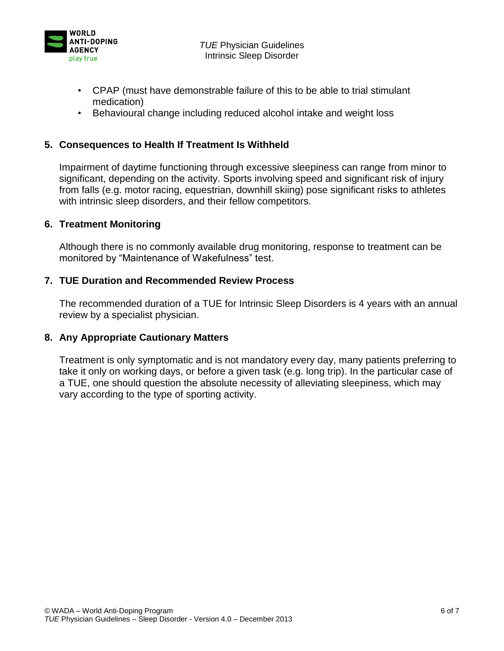

- CPAP (must have demonstrable failure of this to be able to trial stimulant medication)
- Behavioural change including reduced alcohol intake and weight loss

## **5. Consequences to Health If Treatment Is Withheld**

Impairment of daytime functioning through excessive sleepiness can range from minor to significant, depending on the activity. Sports involving speed and significant risk of injury from falls (e.g. motor racing, equestrian, downhill skiing) pose significant risks to athletes with intrinsic sleep disorders, and their fellow competitors.

## **6. Treatment Monitoring**

Although there is no commonly available drug monitoring, response to treatment can be monitored by "Maintenance of Wakefulness" test.

## **7. TUE Duration and Recommended Review Process**

The recommended duration of a TUE for Intrinsic Sleep Disorders is 4 years with an annual review by a specialist physician.

## **8. Any Appropriate Cautionary Matters**

Treatment is only symptomatic and is not mandatory every day, many patients preferring to take it only on working days, or before a given task (e.g. long trip). In the particular case of a TUE, one should question the absolute necessity of alleviating sleepiness, which may vary according to the type of sporting activity.